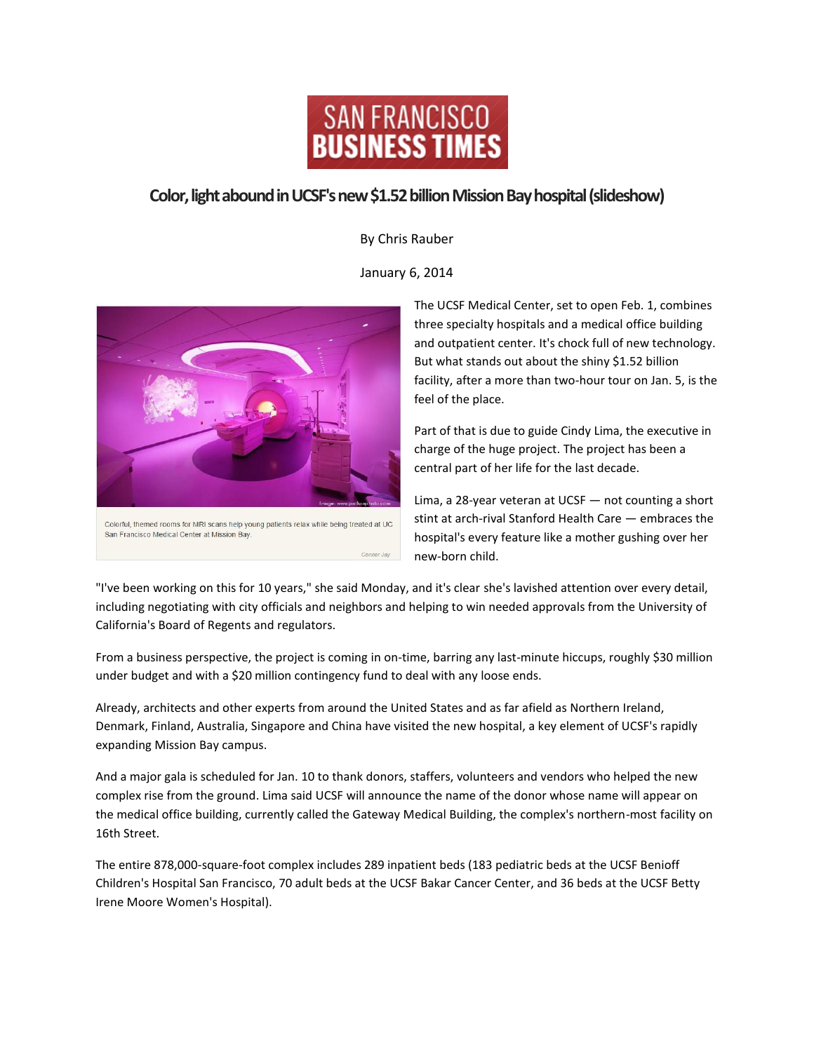

## **Color, light abound in UCSF's new \$1.52 billion Mission Bay hospital (slideshow)**

By Chris Rauber

January 6, 2014



The UCSF Medical Center, set to open Feb. 1, combines three specialty hospitals and a medical office building and outpatient center. It's chock full of new technology. But what stands out about the shiny \$1.52 billion facility, after a more than two-hour tour on Jan. 5, is the feel of the place.

Part of that is due to guide Cindy Lima, the executive in charge of the huge project. The project has been a central part of her life for the last decade.

Lima, a 28-year veteran at UCSF — not counting a short stint at arch-rival Stanford Health Care — embraces the hospital's every feature like a mother gushing over her new-born child.

"I've been working on this for 10 years," she said Monday, and it's clear she's lavished attention over every detail, including negotiating with city officials and neighbors and helping to win needed approvals from the University of California's Board of Regents and regulators.

From a business perspective, the project is coming in on-time, barring any last-minute hiccups, roughly \$30 million under budget and with a \$20 million contingency fund to deal with any loose ends.

Already, architects and other experts from around the United States and as far afield as Northern Ireland, Denmark, Finland, Australia, Singapore and China have visited the new hospital, a key element of UCSF's rapidly expanding Mission Bay campus.

And a major gala is scheduled for Jan. 10 to thank donors, staffers, volunteers and vendors who helped the new complex rise from the ground. Lima said UCSF will announce the name of the donor whose name will appear on the medical office building, currently called the Gateway Medical Building, the complex's northern-most facility on 16th Street.

The entire 878,000-square-foot complex includes 289 inpatient beds (183 pediatric beds at the UCSF Benioff Children's Hospital San Francisco, 70 adult beds at the UCSF Bakar Cancer Center, and 36 beds at the UCSF Betty Irene Moore Women's Hospital).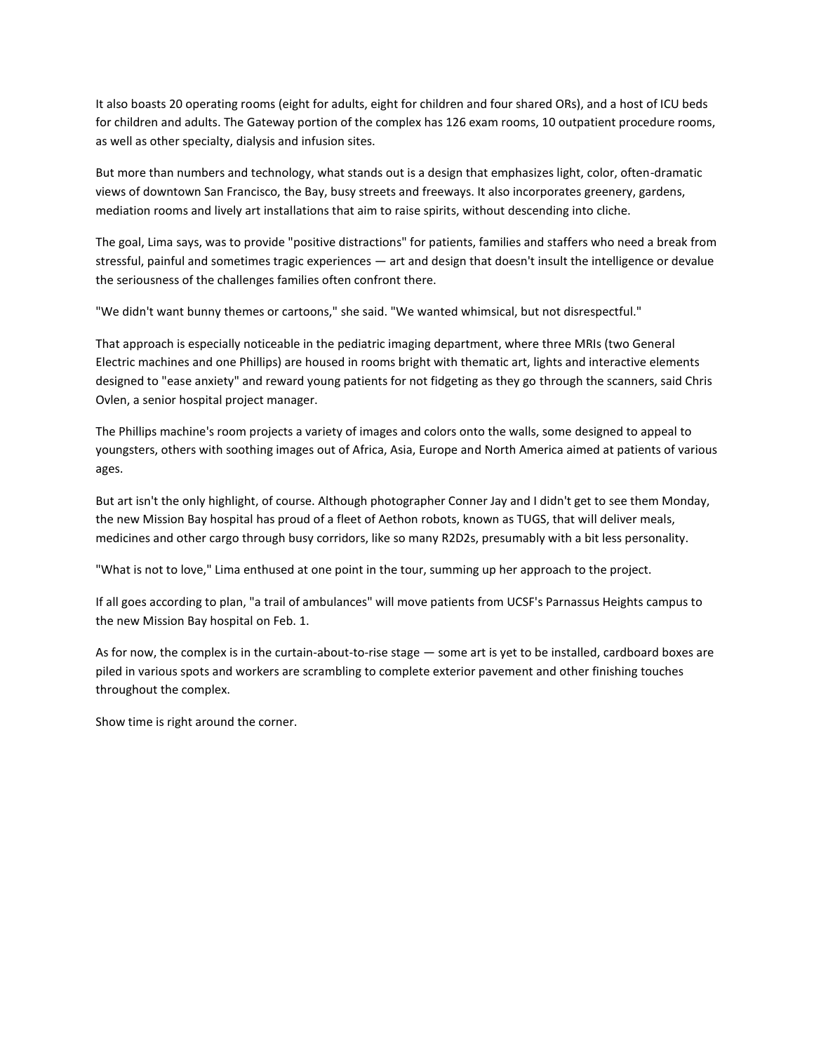It also boasts 20 operating rooms (eight for adults, eight for children and four shared ORs), and a host of ICU beds for children and adults. The Gateway portion of the complex has 126 exam rooms, 10 outpatient procedure rooms, as well as other specialty, dialysis and infusion sites.

But more than numbers and technology, what stands out is a design that emphasizes light, color, often-dramatic views of downtown San Francisco, the Bay, busy streets and freeways. It also incorporates greenery, gardens, mediation rooms and lively art installations that aim to raise spirits, without descending into cliche.

The goal, Lima says, was to provide "positive distractions" for patients, families and staffers who need a break from stressful, painful and sometimes tragic experiences — art and design that doesn't insult the intelligence or devalue the seriousness of the challenges families often confront there.

"We didn't want bunny themes or cartoons," she said. "We wanted whimsical, but not disrespectful."

That approach is especially noticeable in the pediatric imaging department, where three MRIs (two General Electric machines and one Phillips) are housed in rooms bright with thematic art, lights and interactive elements designed to "ease anxiety" and reward young patients for not fidgeting as they go through the scanners, said Chris Ovlen, a senior hospital project manager.

The Phillips machine's room projects a variety of images and colors onto the walls, some designed to appeal to youngsters, others with soothing images out of Africa, Asia, Europe and North America aimed at patients of various ages.

But art isn't the only highlight, of course. Although photographer Conner Jay and I didn't get to see them Monday, the new Mission Bay hospital has proud of a fleet of Aethon robots, known as TUGS, that will deliver meals, medicines and other cargo through busy corridors, like so many R2D2s, presumably with a bit less personality.

"What is not to love," Lima enthused at one point in the tour, summing up her approach to the project.

If all goes according to plan, "a trail of ambulances" will move patients from UCSF's Parnassus Heights campus to the new Mission Bay hospital on Feb. 1.

As for now, the complex is in the curtain-about-to-rise stage — some art is yet to be installed, cardboard boxes are piled in various spots and workers are scrambling to complete exterior pavement and other finishing touches throughout the complex.

Show time is right around the corner.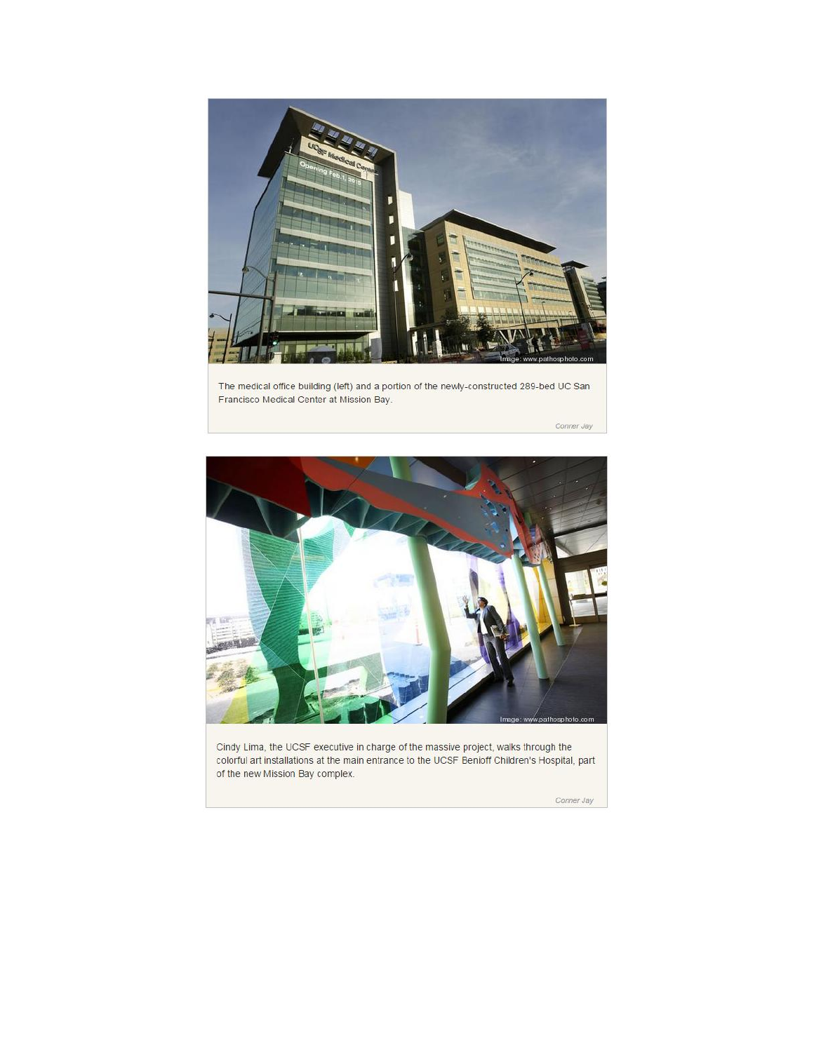

The medical office building (left) and a portion of the newly-constructed 289-bed UC San Francisco Medical Center at Mission Bay.

Conner Jay



Cindy Lima, the UCSF executive in charge of the massive project, walks through the colorful art installations at the main entrance to the UCSF Benioff Children's Hospital, part of the new Mission Bay complex.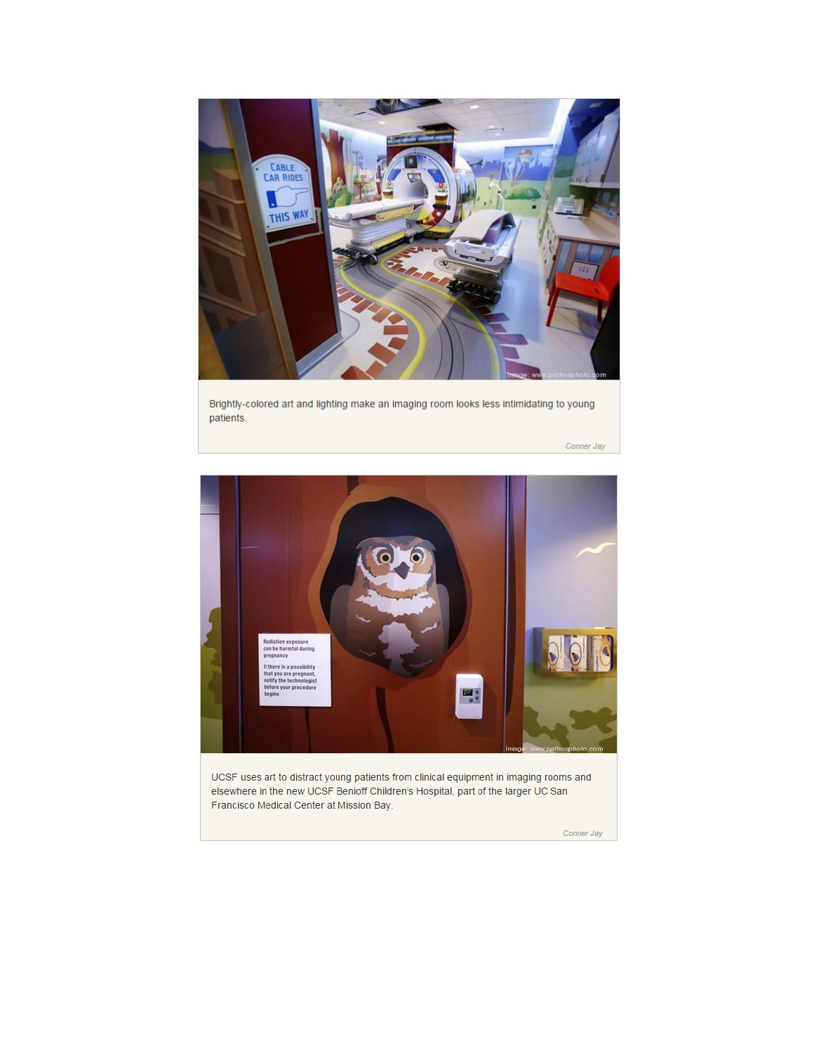

Brightly-colored art and lighting make an imaging room looks less intimidating to young patients.

Conner Jay



UCSF uses art to distract young patients from clinical equipment in imaging rooms and elsewhere in the new UCSF Benioff Children's Hospital, part of the larger UC San Francisco Medical Center at Mission Bay.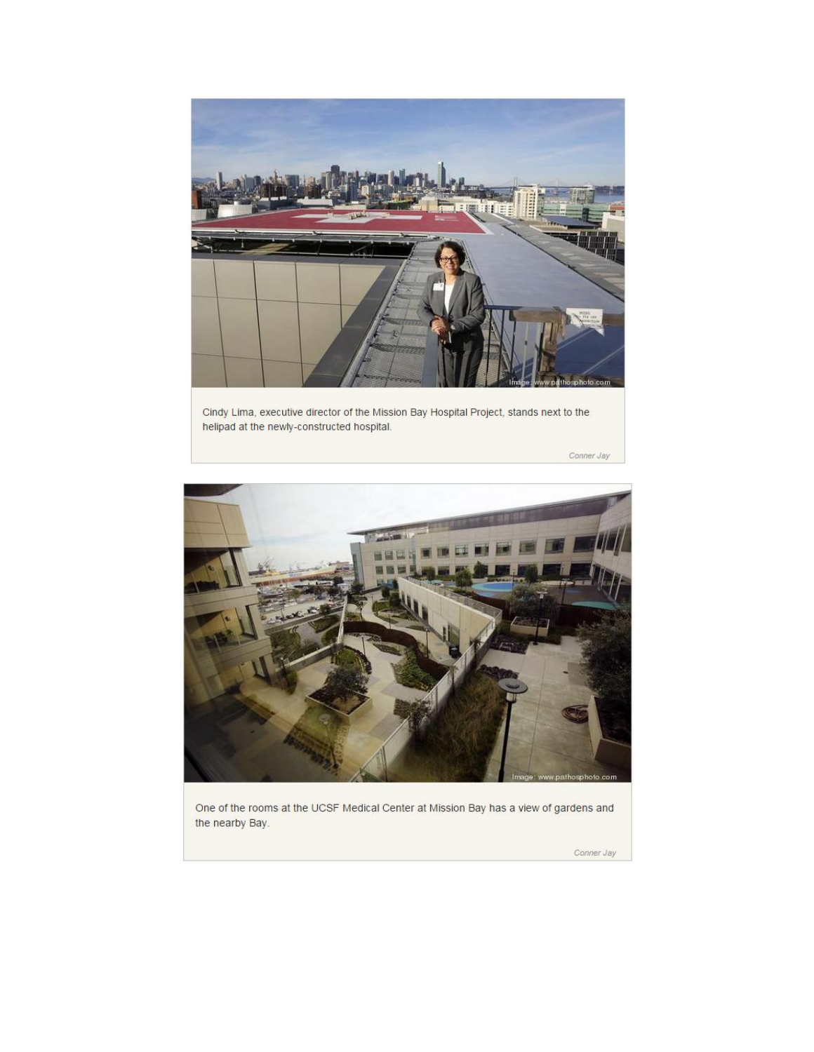

Cindy Lima, executive director of the Mission Bay Hospital Project, stands next to the helipad at the newly-constructed hospital.

Conner Jay



One of the rooms at the UCSF Medical Center at Mission Bay has a view of gardens and the nearby Bay.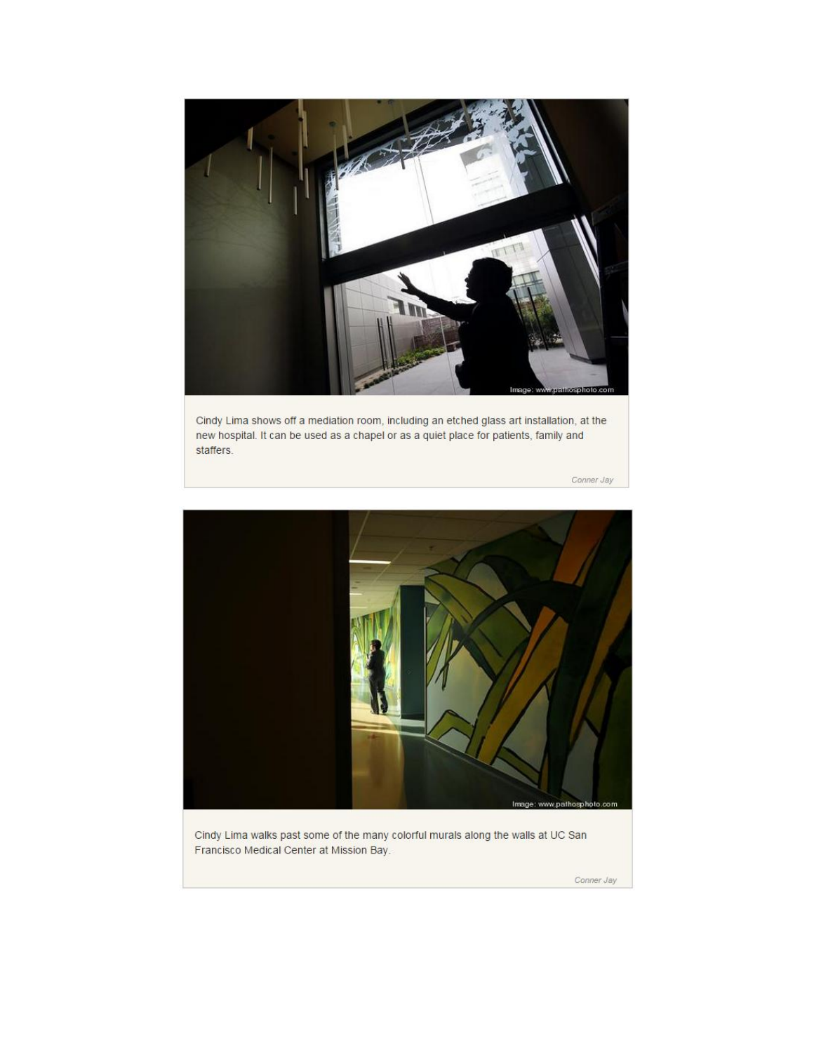

Cindy Lima shows off a mediation room, including an etched glass art installation, at the new hospital. It can be used as a chapel or as a quiet place for patients, family and staffers.

Conner Jay



Cindy Lima walks past some of the many colorful murals along the walls at UC San Francisco Medical Center at Mission Bay.